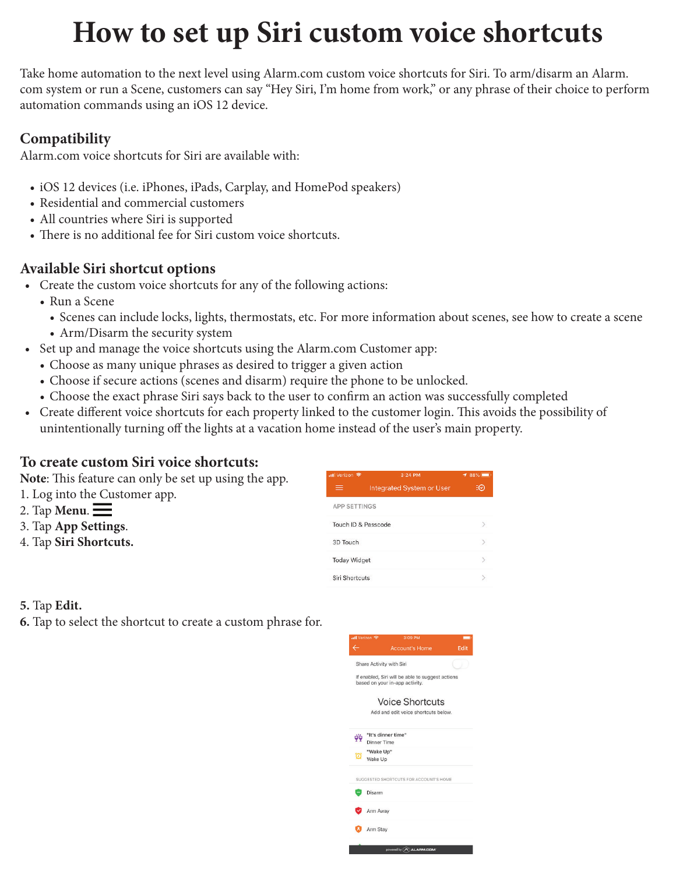# **How to set up Siri custom voice shortcuts**

Take home automation to the next level using Alarm.com custom voice shortcuts for Siri. To arm/disarm an Alarm. com system or run a Scene, customers can say "Hey Siri, I'm home from work," or any phrase of their choice to perform automation commands using an iOS 12 device.

# **Compatibility**

Alarm.com voice shortcuts for Siri are available with:

- iOS 12 devices (i.e. iPhones, iPads, Carplay, and HomePod speakers)
- Residential and commercial customers
- All countries where Siri is supported
- There is no additional fee for Siri custom voice shortcuts.

# **Available Siri shortcut options**

- Create the custom voice shortcuts for any of the following actions:
	- Run a Scene
		- Scenes can include locks, lights, thermostats, etc. For more information about scenes, see how to create a scene
		- Arm/Disarm the security system
- Set up and manage the voice shortcuts using the Alarm.com Customer app:
	- Choose as many unique phrases as desired to trigger a given action
	- Choose if secure actions (scenes and disarm) require the phone to be unlocked.
	- Choose the exact phrase Siri says back to the user to confirm an action was successfully completed
- Create different voice shortcuts for each property linked to the customer login. This avoids the possibility of unintentionally turning off the lights at a vacation home instead of the user's main property.

### **To create custom Siri voice shortcuts:**

**Note:** This feature can only be set up using the app.

- 1. Log into the Customer app.
- 2. Tap **Menu**.
- 3. Tap **App Settings**.
- 4. Tap **Siri Shortcuts.**

| all Verizon 호       | 3:24 PM                          | $188\%$ |  |
|---------------------|----------------------------------|---------|--|
| ≡                   | <b>Integrated System or User</b> | ΞΘ      |  |
| <b>APP SETTINGS</b> |                                  |         |  |
| Touch ID & Passcode |                                  |         |  |
| 3D Touch            |                                  |         |  |
| <b>Today Widget</b> |                                  |         |  |
| Siri Shortcuts      |                                  |         |  |

**5.** Tap **Edit.**

**6.** Tap to select the shortcut to create a custom phrase for.